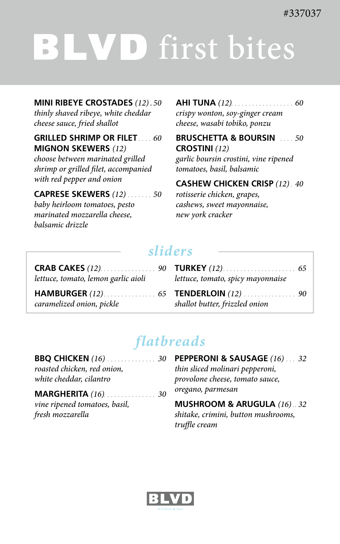# LVD first bites Ī.

**MINI RIBEYE CROSTADES** *(12) . 50*

*thinly shaved ribeye, white cheddar cheese sauce, fried shallot* 

#### **GRILLED SHRIMP OR FILET** *.... 60* **MIGNON SKEWERS** *(12)*

*choose between marinated grilled shrimp or grilled filet, accompanied with red pepper and onion*

**CAPRESE SKEWERS** *(12) ....... 50*

*baby heirloom tomatoes, pesto marinated mozzarella cheese, balsamic drizzle* 

#### **AHI TUNA** *(12).................. 60*

*crispy wonton, soy-ginger cream cheese, wasabi tobiko, ponzu* 

**BRUSCHETTA & BOURSIN** *.... 50* **CROSTINI** *(12)*

*garlic boursin crostini, vine ripened tomatoes, basil, balsamic* 

**CASHEW CHICKEN CRISP** *(12) . 40 rotisserie chicken, grapes,*

*cashews, sweet mayonnaise, new york cracker* 

## *sliders*

| lettuce, tomato, lemon garlic aioli | lettuce, tomato, spicy mayonnaise |
|-------------------------------------|-----------------------------------|
| caramelized onion, pickle           | shallot butter, frizzled onion    |

## *flatbreads*

| <b>BBQ CHICKEN</b> (16)  30 |  |
|-----------------------------|--|
| roasted chicken, red onion, |  |
| white cheddar, cilantro     |  |

#### **MARGHERITA** *(16)............... 30*

*vine ripened tomatoes, basil, fresh mozzarella*

**PEPPERONI & SAUSAGE** *(16) ... 32 thin sliced molinari pepperoni, provolone cheese, tomato sauce, oregano, parmesan*

**MUSHROOM & ARUGULA** *(16) . . 32 shitake, crimini, button mushrooms, truffle cream*

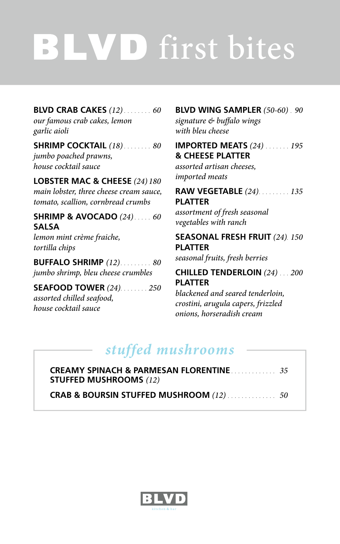# LVD first bites  $\frac{1}{\sqrt{2}}$

**BLVD CRAB CAKES** *(12) ........ 60 our famous crab cakes, lemon garlic aioli*

**SHRIMP COCKTAIL** *(18) ........ 80 jumbo poached prawns, house cocktail sauce*

**LOBSTER MAC & CHEESE** *(24) 180 main lobster, three cheese cream sauce, tomato, scallion, cornbread crumbs* 

**SHRIMP & AVOCADO** *(24)..... 60* **SALSA** *lemon mint crème fraiche, tortilla chips*

**BUFFALO SHRIMP** *(12)......... 80 jumbo shrimp, bleu cheese crumbles*

#### **SEAFOOD TOWER** *(24)........ 250*

*assorted chilled seafood, house cocktail sauce*

#### **BLVD WING SAMPLER** *(50-60) . 90*

*signature & buffalo wings with bleu cheese*

#### **IMPORTED MEATS** *(24) ....... 195* **& CHEESE PLATTER**

*assorted artisan cheeses, imported meats*

#### **RAW VEGETABLE** *(24)......... 135* **PLATTER**

*assortment of fresh seasonal vegetables with ranch*

#### **SEASONAL FRESH FRUIT** *(24). 150* **PLATTER**

*seasonal fruits, fresh berries*

#### **CHILLED TENDERLOIN** *(24) ... 200* **PLATTER**

*blackened and seared tenderloin, crostini, arugula capers, frizzled onions, horseradish cream*

## *stuffed mushrooms*

| <b>CREAMY SPINACH &amp; PARMESAN FLORENTINE</b><br><b>STUFFED MUSHROOMS</b> (12) |  |
|----------------------------------------------------------------------------------|--|
|                                                                                  |  |

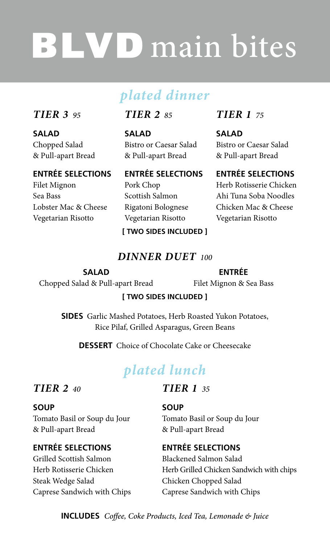# **BLVD** main bites

## *plated dinner*

#### *TIER 3 95*

Filet Mignon Sea Bass

Lobster Mac & Cheese Vegetarian Risotto

**SALAD** Chopped Salad & Pull-apart Bread **ENTRÉE SELECTIONS** *TIER 2 85*

**SALAD** Bistro or Caesar Salad & Pull-apart Bread

#### **ENTRÉE SELECTIONS**

Pork Chop Scottish Salmon Rigatoni Bolognese Vegetarian Risotto

#### **[ TWO SIDES INCLUDED ]**

*DINNER DUET 100*

#### *TIER 1 75*

**SALAD** Bistro or Caesar Salad & Pull-apart Bread

#### **ENTRÉE SELECTIONS**

Herb Rotisserie Chicken Ahi Tuna Soba Noodles Chicken Mac & Cheese Vegetarian Risotto

#### **SALAD** Chopped Salad & Pull-apart Bread

#### **ENTRÉE**

Filet Mignon & Sea Bass

#### **[ TWO SIDES INCLUDED ]**

**SIDES** Garlic Mashed Potatoes, Herb Roasted Yukon Potatoes, Rice Pilaf, Grilled Asparagus, Green Beans

**DESSERT** Choice of Chocolate Cake or Cheesecake

## *plated lunch*

#### *TIER 2 40*

#### **SOUP**

Tomato Basil or Soup du Jour & Pull-apart Bread

#### **ENTRÉE SELECTIONS**

Grilled Scottish Salmon Herb Rotisserie Chicken Steak Wedge Salad Caprese Sandwich with Chips

#### *TIER 1 35*

#### **SOUP**

Tomato Basil or Soup du Jour & Pull-apart Bread

#### **ENTRÉE SELECTIONS**

Blackened Salmon Salad Herb Grilled Chicken Sandwich with chips Chicken Chopped Salad Caprese Sandwich with Chips

**INCLUDES** *Coffee, Coke Products, Iced Tea, Lemonade & Juice*